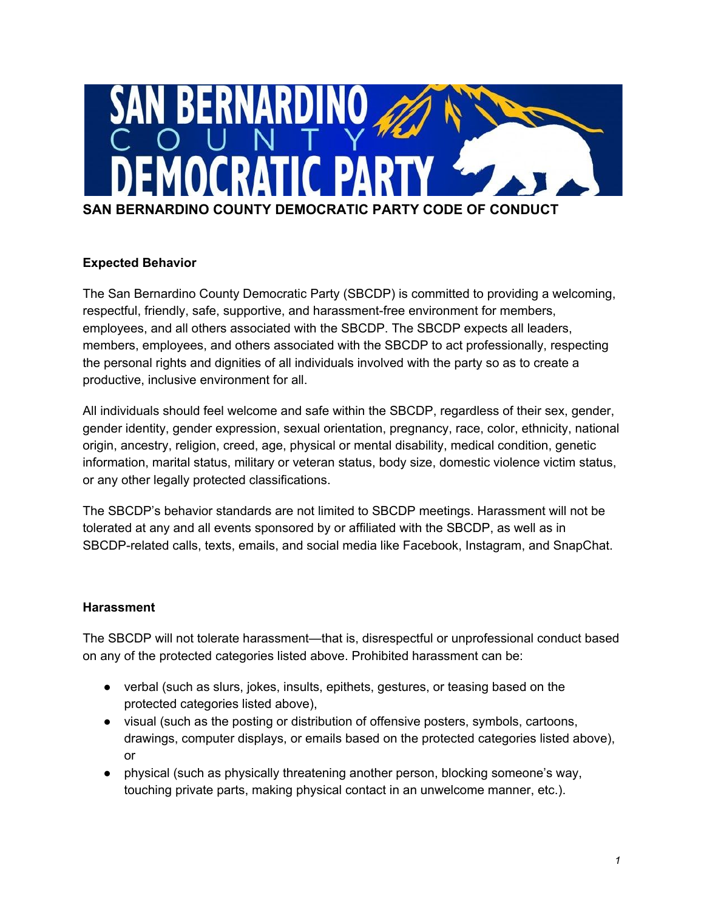

## **Expected Behavior**

The San Bernardino County Democratic Party (SBCDP) is committed to providing a welcoming, respectful, friendly, safe, supportive, and harassment-free environment for members, employees, and all others associated with the SBCDP. The SBCDP expects all leaders, members, employees, and others associated with the SBCDP to act professionally, respecting the personal rights and dignities of all individuals involved with the party so as to create a productive, inclusive environment for all.

All individuals should feel welcome and safe within the SBCDP, regardless of their sex, gender, gender identity, gender expression, sexual orientation, pregnancy, race, color, ethnicity, national origin, ancestry, religion, creed, age, physical or mental disability, medical condition, genetic information, marital status, military or veteran status, body size, domestic violence victim status, or any other legally protected classifications.

The SBCDP's behavior standards are not limited to SBCDP meetings. Harassment will not be tolerated at any and all events sponsored by or affiliated with the SBCDP, as well as in SBCDP-related calls, texts, emails, and social media like Facebook, Instagram, and SnapChat.

## **Harassment**

The SBCDP will not tolerate harassment—that is, disrespectful or unprofessional conduct based on any of the protected categories listed above. Prohibited harassment can be:

- verbal (such as slurs, jokes, insults, epithets, gestures, or teasing based on the protected categories listed above),
- visual (such as the posting or distribution of offensive posters, symbols, cartoons, drawings, computer displays, or emails based on the protected categories listed above), or
- physical (such as physically threatening another person, blocking someone's way, touching private parts, making physical contact in an unwelcome manner, etc.).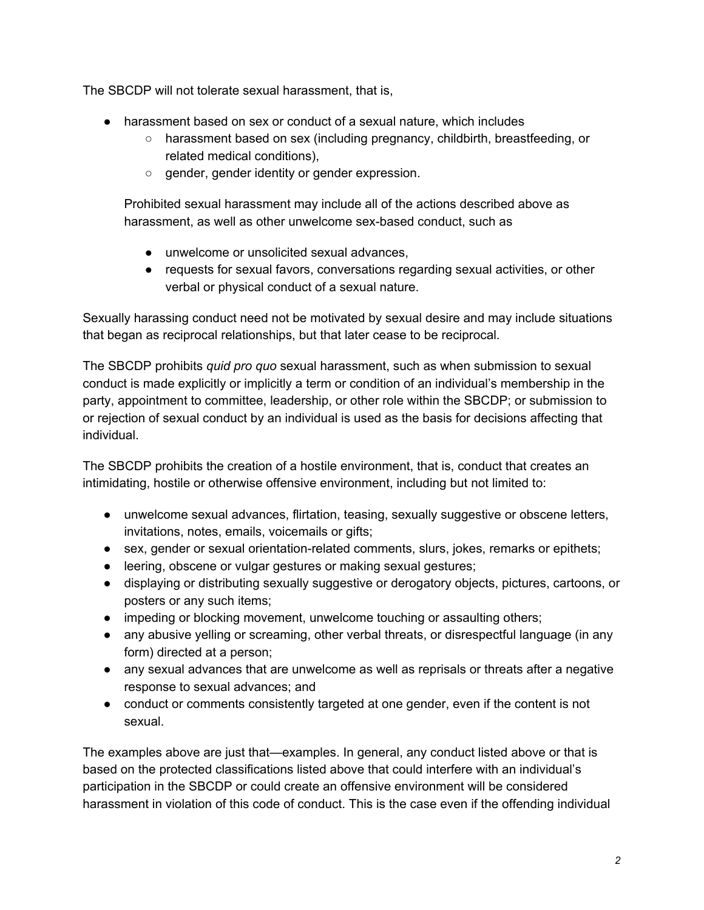The SBCDP will not tolerate sexual harassment, that is,

- harassment based on sex or conduct of a sexual nature, which includes
	- harassment based on sex (including pregnancy, childbirth, breastfeeding, or related medical conditions),
	- gender, gender identity or gender expression.

Prohibited sexual harassment may include all of the actions described above as harassment, as well as other unwelcome sex-based conduct, such as

- unwelcome or unsolicited sexual advances,
- requests for sexual favors, conversations regarding sexual activities, or other verbal or physical conduct of a sexual nature.

Sexually harassing conduct need not be motivated by sexual desire and may include situations that began as reciprocal relationships, but that later cease to be reciprocal.

The SBCDP prohibits *quid pro quo* sexual harassment, such as when submission to sexual conduct is made explicitly or implicitly a term or condition of an individual's membership in the party, appointment to committee, leadership, or other role within the SBCDP; or submission to or rejection of sexual conduct by an individual is used as the basis for decisions affecting that individual.

The SBCDP prohibits the creation of a hostile environment, that is, conduct that creates an intimidating, hostile or otherwise offensive environment, including but not limited to:

- unwelcome sexual advances, flirtation, teasing, sexually suggestive or obscene letters, invitations, notes, emails, voicemails or gifts;
- sex, gender or sexual orientation-related comments, slurs, jokes, remarks or epithets;
- leering, obscene or vulgar gestures or making sexual gestures;
- displaying or distributing sexually suggestive or derogatory objects, pictures, cartoons, or posters or any such items;
- impeding or blocking movement, unwelcome touching or assaulting others;
- any abusive yelling or screaming, other verbal threats, or disrespectful language (in any form) directed at a person;
- any sexual advances that are unwelcome as well as reprisals or threats after a negative response to sexual advances; and
- conduct or comments consistently targeted at one gender, even if the content is not sexual.

The examples above are just that—examples. In general, any conduct listed above or that is based on the protected classifications listed above that could interfere with an individual's participation in the SBCDP or could create an offensive environment will be considered harassment in violation of this code of conduct. This is the case even if the offending individual